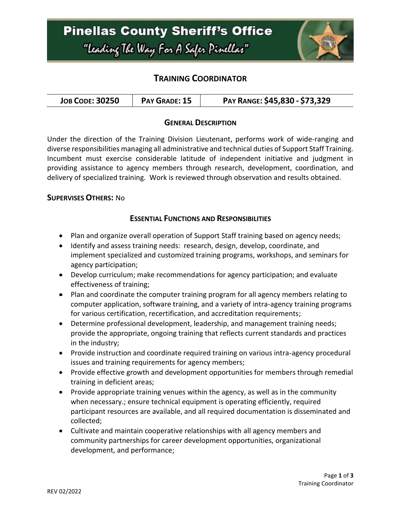

## **TRAINING COORDINATOR**

| <b>JOB CODE: 30250</b> | PAY GRADE: 15 | PAY RANGE: \$45,830 - \$73,329 |
|------------------------|---------------|--------------------------------|
|------------------------|---------------|--------------------------------|

### **GENERAL DESCRIPTION**

Under the direction of the Training Division Lieutenant, performs work of wide-ranging and diverse responsibilities managing all administrative and technical duties of Support Staff Training. Incumbent must exercise considerable latitude of independent initiative and judgment in providing assistance to agency members through research, development, coordination, and delivery of specialized training. Work is reviewed through observation and results obtained.

#### **SUPERVISES OTHERS:** No

### **ESSENTIAL FUNCTIONS AND RESPONSIBILITIES**

- Plan and organize overall operation of Support Staff training based on agency needs;
- Identify and assess training needs: research, design, develop, coordinate, and implement specialized and customized training programs, workshops, and seminars for agency participation;
- Develop curriculum; make recommendations for agency participation; and evaluate effectiveness of training;
- Plan and coordinate the computer training program for all agency members relating to computer application, software training, and a variety of intra-agency training programs for various certification, recertification, and accreditation requirements;
- Determine professional development, leadership, and management training needs; provide the appropriate, ongoing training that reflects current standards and practices in the industry;
- Provide instruction and coordinate required training on various intra-agency procedural issues and training requirements for agency members;
- Provide effective growth and development opportunities for members through remedial training in deficient areas;
- Provide appropriate training venues within the agency, as well as in the community when necessary.; ensure technical equipment is operating efficiently, required participant resources are available, and all required documentation is disseminated and collected;
- Cultivate and maintain cooperative relationships with all agency members and community partnerships for career development opportunities, organizational development, and performance;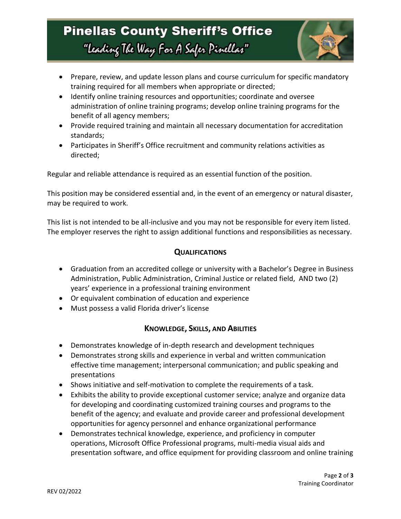# **Pinellas County Sheriff's Office** "Leading The Way For A Safer Pinellar"



- Prepare, review, and update lesson plans and course curriculum for specific mandatory training required for all members when appropriate or directed;
- Identify online training resources and opportunities; coordinate and oversee administration of online training programs; develop online training programs for the benefit of all agency members;
- Provide required training and maintain all necessary documentation for accreditation standards;
- Participates in Sheriff's Office recruitment and community relations activities as directed;

Regular and reliable attendance is required as an essential function of the position.

This position may be considered essential and, in the event of an emergency or natural disaster, may be required to work.

This list is not intended to be all-inclusive and you may not be responsible for every item listed. The employer reserves the right to assign additional functions and responsibilities as necessary.

### **QUALIFICATIONS**

- Graduation from an accredited college or university with a Bachelor's Degree in Business Administration, Public Administration, Criminal Justice or related field, AND two (2) years' experience in a professional training environment
- Or equivalent combination of education and experience
- Must possess a valid Florida driver's license

### **KNOWLEDGE, SKILLS, AND ABILITIES**

- Demonstrates knowledge of in-depth research and development techniques
- Demonstrates strong skills and experience in verbal and written communication effective time management; interpersonal communication; and public speaking and presentations
- Shows initiative and self-motivation to complete the requirements of a task.
- Exhibits the ability to provide exceptional customer service; analyze and organize data for developing and coordinating customized training courses and programs to the benefit of the agency; and evaluate and provide career and professional development opportunities for agency personnel and enhance organizational performance
- Demonstrates technical knowledge, experience, and proficiency in computer operations, Microsoft Office Professional programs, multi-media visual aids and presentation software, and office equipment for providing classroom and online training